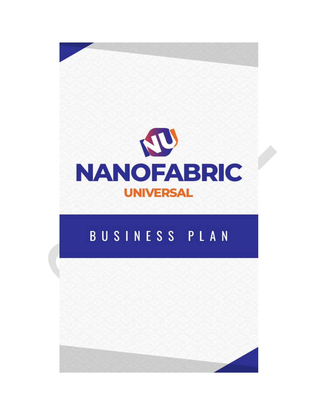

# BUSINESS PLAN

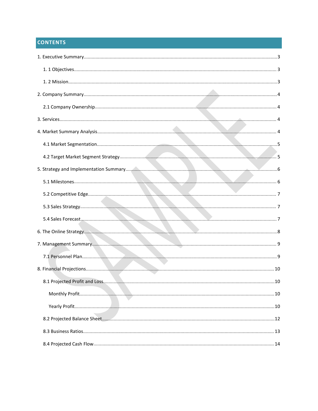# **CONTENTS**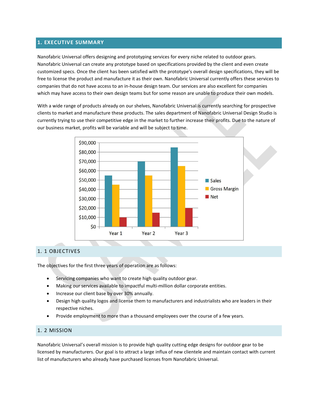#### <span id="page-2-0"></span>**1. EXECUTIVE SUMMARY**

Nanofabric Universal offers designing and prototyping services for every niche related to outdoor gears. Nanofabric Universal can create any prototype based on specifications provided by the client and even create customized specs. Once the client has been satisfied with the prototype's overall design specifications, they will be free to license the product and manufacture it as their own. Nanofabric Universal currently offers these services to companies that do not have access to an in-house design team. Our services are also excellent for companies which may have access to their own design teams but for some reason are unable to produce their own models.

With a wide range of products already on our shelves, Nanofabric Universal is currently searching for prospective clients to market and manufacture these products. The sales department of Nanofabric Universal Design Studio is currently trying to use their competitive edge in the market to further increase their profits. Due to the nature of our business market, profits will be variable and will be subject to time.



#### 1. 1 OBJECTIVES

The objectives for the first three years of operation are as follows:

- Servicing companies who want to create high quality outdoor gear.
- Making our services available to impactful multi-million dollar corporate entities.
- Increase our client base by over 30% annually.
- Design high quality logos and license them to manufacturers and industrialists who are leaders in their respective niches.
- Provide employment to more than a thousand employees over the course of a few years.

#### 1. 2 MISSION

Nanofabric Universal's overall mission is to provide high quality cutting edge designs for outdoor gear to be licensed by manufacturers. Our goal is to attract a large influx of new clientele and maintain contact with current list of manufacturers who already have purchased licenses from Nanofabric Universal.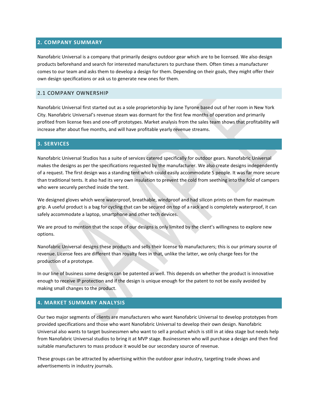#### <span id="page-3-0"></span>**2. COMPANY SUMMARY**

Nanofabric Universal is a company that primarily designs outdoor gear which are to be licensed. We also design products beforehand and search for interested manufacturers to purchase them. Often times a manufacturer comes to our team and asks them to develop a design for them. Depending on their goals, they might offer their own design specifications or ask us to generate new ones for them.

#### 2.1 COMPANY OWNERSHIP

Nanofabric Universal first started out as a sole proprietorship by Jane Tyrone based out of her room in New York City. Nanofabric Universal's revenue steam was dormant for the first few months of operation and primarily profited from license fees and one-off prototypes. Market analysis from the sales team shows that profitability will increase after about five months, and will have profitable yearly revenue streams.

#### **3. SERVICES**

Nanofabric Universal Studios has a suite of services catered specifically for outdoor gears. Nanofabric Universal makes the designs as per the specifications requested by the manufacturer. We also create designs independently of a request. The first design was a standing tent which could easily accommodate 5 people. It was far more secure than traditional tents. It also had its very own insulation to prevent the cold from seething into the fold of campers who were securely perched inside the tent.

We designed gloves which were waterproof, breathable, windproof and had silicon prints on them for maximum grip. A useful product is a bag for cycling that can be secured on top of a rack and is completely waterproof, it can safely accommodate a laptop, smartphone and other tech devices.

We are proud to mention that the scope of our designs is only limited by the client's willingness to explore new options.

Nanofabric Universal designs these products and sells their license to manufacturers; this is our primary source of revenue. License fees are different than royalty fees in that, unlike the latter, we only charge fees for the production of a prototype.

In our line of business some designs can be patented as well. This depends on whether the product is innovative enough to receive IP protection and if the design is unique enough for the patent to not be easily avoided by making small changes to the product.

#### **4. MARKET SUMMARY ANALYSIS**

Our two major segments of clients are manufacturers who want Nanofabric Universal to develop prototypes from provided specifications and those who want Nanofabric Universal to develop their own design. Nanofabric Universal also wants to target businessmen who want to sell a product which is still in at idea stage but needs help from Nanofabric Universal studios to bring it at MVP stage. Businessmen who will purchase a design and then find suitable manufacturers to mass produce it would be our secondary source of revenue.

These groups can be attracted by advertising within the outdoor gear industry, targeting trade shows and advertisements in industry journals.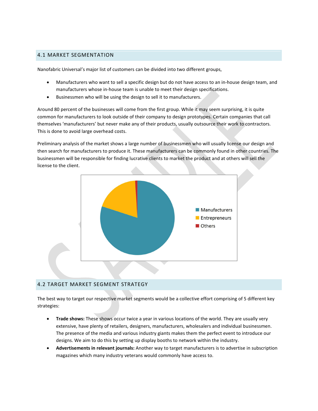#### <span id="page-4-0"></span>4.1 MARKET SEGMENTATION

Nanofabric Universal's major list of customers can be divided into two different groups,

- Manufacturers who want to sell a specific design but do not have access to an in-house design team, and manufacturers whose in-house team is unable to meet their design specifications.
- Businessmen who will be using the design to sell it to manufacturers.

Around 80 percent of the businesses will come from the first group. While it may seem surprising, it is quite common for manufacturers to look outside of their company to design prototypes. Certain companies that call themselves 'manufacturers' but never make any of their products, usually outsource their work to contractors. This is done to avoid large overhead costs.

Preliminary analysis of the market shows a large number of businessmen who will usually license our design and then search for manufacturers to produce it. These manufacturers can be commonly found in other countries. The businessmen will be responsible for finding lucrative clients to market the product and at others will sell the license to the client.



#### 4.2 TARGET MARKET SEGMENT STRATEGY

The best way to target our respective market segments would be a collective effort comprising of 5 different key strategies:

- **Trade shows:** These shows occur twice a year in various locations of the world. They are usually very extensive, have plenty of retailers, designers, manufacturers, wholesalers and individual businessmen. The presence of the media and various industry giants makes them the perfect event to introduce our designs. We aim to do this by setting up display booths to network within the industry.
- **Advertisements in relevant journals:** Another way to target manufacturers is to advertise in subscription magazines which many industry veterans would commonly have access to.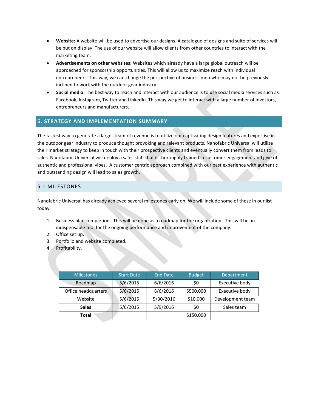- <span id="page-5-0"></span> **Website:** A website will be used to advertise our designs. A catalogue of designs and suite of services will be put on display. The use of our website will allow clients from other countries to interact with the marketing team.
- **Advertisements on other websites:** Websites which already have a large global outreach will be approached for sponsorship opportunities. This will allow us to maximize reach with individual entrepreneurs. This way, we can change the perspective of business men who may not be previously inclined to work with the outdoor gear industry.
- **Social media:** The best way to reach and interact with our audience is to use social media services such as Facebook, Instagram, Twitter and LinkedIn. This way we get to interact with a large number of investors, entrepreneurs and manufacturers.

#### **5. STRATEGY AND IMPLEMENTATION SUMMARY**

The fastest way to generate a large steam of revenue is to utilize our captivating design features and expertise in the outdoor gear industry to produce thought provoking and relevant products. Nanofabric Universal will utilize their market strategy to keep in touch with their prospective clients and eventually convert them from leads to sales. Nanofabric Universal will deploy a sales staff that is thoroughly trained in customer engagement and give off authentic and professional vibes. A customer centric approach combined with our pastexperience with authentic and outstanding design will lead to sales growth.

#### 5.1 MILESTONES

Nanofabric Universal has already achieved several milestones early on. We will include some of these in our list today.

- 1. Business plan completion. This will be done as a roadmap for the organization. This will be an indispensable tool for the ongoing performance and improvement of the company.
- 
- 2. Office set up.<br>3. Portfolio and website completed.
- 4. Profitability.

| <b>Milestones</b>   | <b>Start Date</b> | <b>End Date</b> | <b>Budget</b> | Department       |
|---------------------|-------------------|-----------------|---------------|------------------|
| Roadmap             | 5/6/2015          | 6/6/2016        | \$0           | Executive body   |
| Office headquarters | 5/6/2015          | 8/6/2016        | \$500,000     | Executive body   |
| Website             | 5/6/2015          | 5/30/2016       | \$10,000      | Development team |
| <b>Sales</b>        | 5/6/2015          | 5/9/2016        | \$0           | Sales team       |
| Total               |                   |                 | \$150,000     |                  |
|                     |                   |                 |               |                  |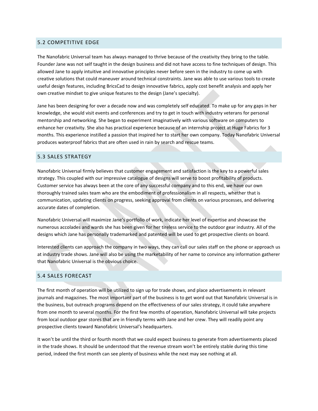#### <span id="page-6-0"></span>5.2 COMPETITIVE EDGE

The Nanofabric Universal team has always managed to thrive because of the creativity they bring to the table. Founder Jane was not self taught in the design business and did not have access to fine techniques of design. This allowed Jane to apply intuitive and innovative principles never before seen in the industry to come up with creative solutions that could maneuver around technical constraints. Jane was able to use various tools to create useful design features, including BricsCad to design innovative fabrics, apply cost benefit analysis and apply her own creative mindset to give unique features to the design (Jane's specialty).

Jane has been designing for over a decade now and was completely self educated. To make up for any gaps in her knowledge, she would visit events and conferences and tryto get in touch with industry veterans for personal mentorship and networking. She began to experiment imaginatively with various software on computers to enhance her creativity. She also has practical experience because of an internship project at Huge Fabrics for 3 months. This experience instilled a passion that inspired her to start her own company. Today Nanofabric Universal produces waterproof fabrics that are often used in rain by search and rescue teams.

#### 5.3 SALES STRATEGY

Nanofabric Universal firmly believes that customer engagement and satisfaction is the key to a powerful sales strategy. This coupled with our impressive catalogue of designs will serve to boost profitability of products. Customer service has always been at the core of any successful company and to this end, we have our own thoroughly trained sales team who are the embodiment of professionalism in all respects, whether that is communication, updating clients on progress, seeking approval from clients on various processes, and delivering accurate dates of completion.

Nanofabric Universal will maximize Jane's portfolio of work, indicate her level of expertise and showcase the numerous accolades and wards she has been given for her tireless service to the outdoor gear industry. All of the designs which Jane has personally trademarked and patented will be used to get prospective clients on board.

Interested clients can approach the company in two ways, they can call our sales staff on the phone or approach us at industry trade shows. Jane will also be using the marketability of her name to convince any information gatherer that Nanofabric Universal is the obvious choice.

#### 5.4 SALES FORECAST

The first month of operation will be utilized to sign up for trade shows, and place advertisements in relevant journals and magazines. The most important part of the business is to get word out that Nanofabric Universal is in the business, but outreach programs depend on the effectiveness of our sales strategy, it could take anywhere from one month to several months. For the first few months of operation, Nanofabric Universal will take projects from local outdoor gear stores that are in friendly terms with Jane and her crew. They will readily point any prospective clients toward Nanofabric Universal's headquarters.

It won't be until the third or fourth month that we could expect business to generate from advertisements placed in the trade shows. It should be understood that the revenue stream won't be entirely stable during this time period, indeed the first month can see plenty of business while the next may see nothing at all.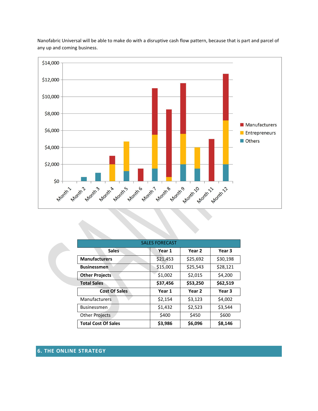

<span id="page-7-0"></span>Nanofabric Universal will be able to make do with a disruptive cash flow pattern, because that is part and parcel of any up and coming business.

| <b>SALES FORECAST</b>      |          |          |          |  |
|----------------------------|----------|----------|----------|--|
| <b>Sales</b>               | Year 1   | Year 2   | Year 3   |  |
| <b>Manufacturers</b>       | \$21,453 | \$25,692 | \$30,198 |  |
| <b>Businessmen</b>         | \$15,001 | \$25,543 | \$28,121 |  |
| <b>Other Projects</b>      | \$1,002  | \$2,015  | \$4,200  |  |
| <b>Total Sales</b>         | \$37,456 | \$53,250 | \$62,519 |  |
| <b>Cost Of Sales</b>       | Year 1   | Year 2   | Year 3   |  |
| <b>Manufacturers</b>       | \$2,154  | \$3,123  | \$4,002  |  |
| <b>Businessmen</b>         | \$1,432  | \$2,523  | \$3,544  |  |
| <b>Other Projects</b>      | \$400    | \$450    | \$600    |  |
| <b>Total Cost Of Sales</b> | \$3,986  | \$6,096  | \$8,146  |  |

# **6. THE ONLINE STRATEGY**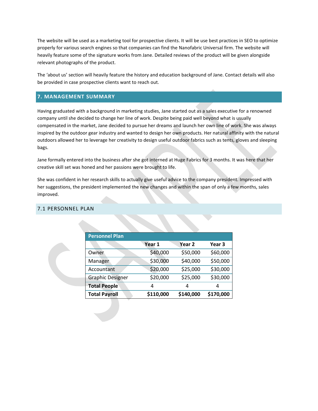<span id="page-8-0"></span>The website will be used as a marketing tool for prospective clients. It will be use best practices in SEO to optimize properly for various search engines so that companies can find the Nanofabric Universal firm. The website will heavily feature some of the signature works from Jane. Detailed reviews of the product will be given alongside relevant photographs of the product.

The 'about us' section will heavily feature the history and education background of Jane. Contact details will also be provided in case prospective clients want to reach out.

#### **7. MANAGEMENT SUMMARY**

Having graduated with a background in marketing studies, Jane started out as a sales executive for a renowned company until she decided to change her line of work. Despite being paid well beyond what is usually compensated in the market, Jane decided to pursue her dreams and launch her own line of work. She was always inspired by the outdoor gear industry and wanted to design her own products. Her natural affinity with the natural outdoors allowed her to leverage her creativity to design useful outdoor fabrics such as tents, gloves and sleeping bags.

Jane formally entered into the business after she got interned at Huge Fabrics for 3 months. It was here that her creative skill set was honed and her passions were brought to life.

She was confident in her research skills to actually give useful advice to the company president. Impressed with her suggestions, the president implemented the new changes and within the span of only a few months, sales improved.

| <b>Personnel Plan</b>   |           |                   |           |
|-------------------------|-----------|-------------------|-----------|
|                         | Year 1    | Year <sub>2</sub> | Year 3    |
| Owner                   | \$40,000  | \$50,000          | \$60,000  |
| Manager                 | \$30,000  | \$40,000          | \$50,000  |
| Accountant              | \$20,000  | \$25,000          | \$30,000  |
| <b>Graphic Designer</b> | \$20,000  | \$25,000          | \$30,000  |
| <b>Total People</b>     | 4         | 4                 | 4         |
| <b>Total Payroll</b>    | \$110,000 | \$140,000         | \$170,000 |

#### 7.1 PERSONNEL PLAN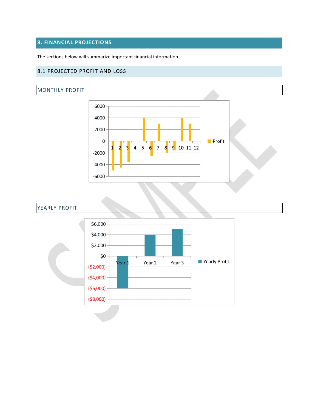# <span id="page-9-0"></span>**8. FINANCIAL PROJECTIONS**

The sections below will summarize important financial information

#### 8.1 PROJECTED PROFIT AND LOSS

#### MONTHLY PROFIT



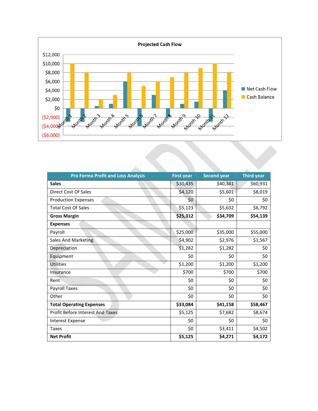

 $\mathcal{L}_{\mathcal{A}}$ 

| <b>Pro Forma Profit and Loss Analysis</b> | <b>First year</b> | <b>Second year</b> | <b>Third year</b> |
|-------------------------------------------|-------------------|--------------------|-------------------|
| <b>Sales</b>                              | \$30,435          | \$40,341           | \$60,931          |
| Direct Cost Of Sales                      | \$4,120           | \$5,601            | \$8,019           |
| <b>Production Expenses</b>                | \$0\$             | \$0                | \$0               |
| <b>Total Cost Of Sales</b>                | \$5,123           | \$5,632            | \$6,792           |
| <b>Gross Margin</b>                       | \$25,312          | \$34,709           | \$54,139          |
| <b>Expenses</b>                           |                   |                    |                   |
| Payroll                                   | \$25,000          | \$35,000           | \$55,000          |
| Sales And Marketing                       | \$4,902           | \$2,976            | \$1,567           |
| Depreciation                              | \$1,282           | \$1,282            | \$0               |
| Equipment                                 | \$0               | \$0                | \$0               |
| <b>Utilities</b>                          | \$1,200           | \$1,200            | \$1,200           |
| Insurance                                 | \$700             | \$700              | \$700             |
| Rent                                      | \$0               | \$0                | \$0               |
| Payroll Taxes                             | \$0               | \$0                | \$0               |
| Other                                     | \$0               | \$0                | \$0               |
| <b>Total Operating Expenses</b>           | \$33,084          | \$41,158           | \$58,467          |
| Profit Before Interest And Taxes          | \$5,125           | \$7,682            | \$8,674           |
| Interest Expense                          | \$0\$             | \$0                | \$0               |
| <b>Taxes</b>                              | \$0               | \$3,411            | \$4,502           |
| <b>Net Profit</b>                         | \$5,125           | \$4,271            | \$4,172           |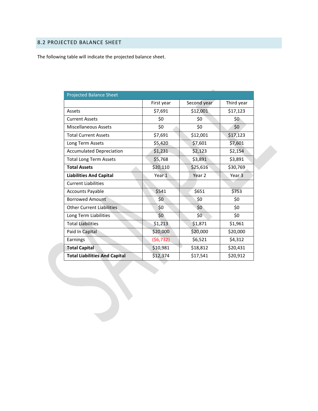# <span id="page-11-0"></span>8.2 PROJECTED BALANCE SHEET

The following table will indicate the projected balance sheet.

| <b>Projected Balance Sheet</b>       |                  |             |                   |
|--------------------------------------|------------------|-------------|-------------------|
|                                      | First year       | Second year | Third year        |
| Assets                               | \$7,691          | \$12,001    | \$17,123          |
| <b>Current Assets</b>                | \$0              | \$0         | \$0               |
| <b>Miscellaneous Assets</b>          | \$0              | \$0         | \$0               |
| <b>Total Current Assets</b>          | \$7,691          | \$12,001    | \$17,123          |
| Long Term Assets                     | \$5,420          | \$7,601     | \$7,601           |
| <b>Accumulated Depreciation</b>      | \$1,231          | \$2,123     | \$2,154           |
| <b>Total Long Term Assets</b>        | \$5,768          | \$3,891     | \$3,891           |
| <b>Total Assets</b>                  | \$20,110         | \$25,616    | \$30,769          |
| <b>Liabilities And Capital</b>       | Year 1           | Year 2      | Year <sub>3</sub> |
| <b>Current Liabilities</b>           |                  |             |                   |
| <b>Accounts Payable</b>              | \$541            | \$651       | \$753             |
| <b>Borrowed Amount</b>               | \$0              | \$0         | \$0               |
| <b>Other Current Liabilities</b>     | \$0              | \$0\$       | \$0               |
| Long Term Liabilities                | \$0 <sub>1</sub> | \$0\$       | \$0               |
| <b>Total Liabilities</b>             | \$1,213          | \$1,871     | \$1,961           |
| Paid In Capital                      | \$20,000         | \$20,000    | \$20,000          |
| Earnings                             | (56, 732)        | \$6,521     | \$4,312           |
| <b>Total Capital</b>                 | \$10,981         | \$18,812    | \$20,431          |
| <b>Total Liabilities And Capital</b> | \$12,374         | \$17,541    | \$20,912          |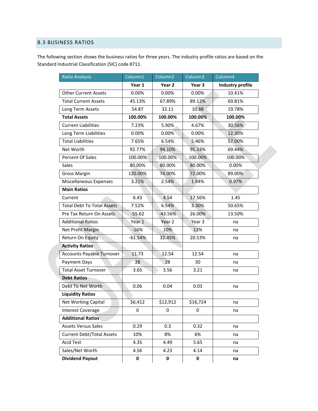### <span id="page-12-0"></span>8.3 BUSINESS RATIOS

The following section shows the business ratios for three years. The industry profile ratios are based on the Standard Industrial Classification (SIC) code 8711.

| <b>Ratio Analysis</b>             | Column1     | Column <sub>2</sub> | Column <sub>3</sub> | Column4                 |  |
|-----------------------------------|-------------|---------------------|---------------------|-------------------------|--|
|                                   | Year 1      | Year 2              | Year 3              | <b>Industry profile</b> |  |
| <b>Other Current Assets</b>       | 0.00%       | 0.00%               | 0.00%               | 10.41%                  |  |
| <b>Total Current Assets</b>       | 45.13%      | 67.89%              | 89.12%              | 69.81%                  |  |
| Long Term Assets                  | 54.87       | 32.11               | 10.88               | 19.78%                  |  |
| <b>Total Assets</b>               | 100.00%     | 100.00%             | 100.00%             | 100.00%                 |  |
| <b>Current Liabilities</b>        | 7.23%       | 5.90%               | 4.67%               | 30.56%                  |  |
| Long Term Liabilities             | 0.00%       | 0.00%               | 0.00%               | 12.30%                  |  |
| <b>Total Liabilities</b>          | 7.65%       | 6.54%               | 5.46%               | 57.00%                  |  |
| Net Worth                         | 92.77%      | 94.10%              | 95.33%              | 69.44%                  |  |
| Percent Of Sales                  | 100.00%     | 100.00%             | 100.00%             | 100.00%                 |  |
| Sales                             | 80.00%      | 80.00%              | 80.00%              | 0.00%                   |  |
| <b>Gross Margin</b>               | 120.00%     | 74.00%              | 72.00%              | 89.00%                  |  |
| Miscellaneous Expenses            | 3.21%       | 2.54%               | 1.94%               | 0.97%                   |  |
| <b>Main Ratios</b>                |             |                     |                     |                         |  |
| Current                           | 6.43        | 4.54                | 17.56%              | 1.45                    |  |
| <b>Total Debt To Total Assets</b> | 7.52%       | 6.54%               | 3.30%               | 50.65%                  |  |
| Pre Tax Return On Assets          | $-55.62$    | $-43.56%$           | 26.00%              | 13.50%                  |  |
| <b>Additional Ratios</b>          | Year 1      | Year 2              | Year 3              | na                      |  |
| Net Profit Margin                 | $-16%$      | 10%                 | 12%                 | na                      |  |
| Return On Equity                  | $-61.54%$   | 32.45%              | 20.53%              | na                      |  |
| <b>Activity Ratios</b>            |             |                     |                     |                         |  |
| <b>Accounts Payable Turnover</b>  | 11.73       | 12.54               | 12.54               | na                      |  |
| Payment Days                      | 28          | 28                  | 30                  | na                      |  |
| <b>Total Asset Turnover</b>       | 3.65        | 3.56                | 3.21                | na                      |  |
| <b>Debt Ratios</b>                |             |                     |                     |                         |  |
| Debt To Net Worth                 | 0.06        | 0.04                | 0.03                | na                      |  |
| <b>Liquidity Ratios</b>           |             |                     |                     |                         |  |
| Net Working Capital               | \$6,412     | \$12,912            | \$16,724            | na                      |  |
| <b>Interest Coverage</b>          | $\mathbf 0$ | 0                   | 0                   | na                      |  |
| <b>Additional Ratios</b>          |             |                     |                     |                         |  |
| <b>Assets Versus Sales</b>        | 0.29        | 0.3                 | 0.32                | na                      |  |
| <b>Current Debt/Total Assets</b>  | 10%         | 8%                  | 6%                  | na                      |  |
| <b>Acid Test</b>                  | 4.35        | 4.49                | 5.65                | na                      |  |
| Sales/Net Worth                   | 4.56        | 4.23                | 4.14                | na                      |  |
| <b>Dividend Payout</b>            | $\pmb{0}$   | 0                   | $\pmb{0}$           | na                      |  |